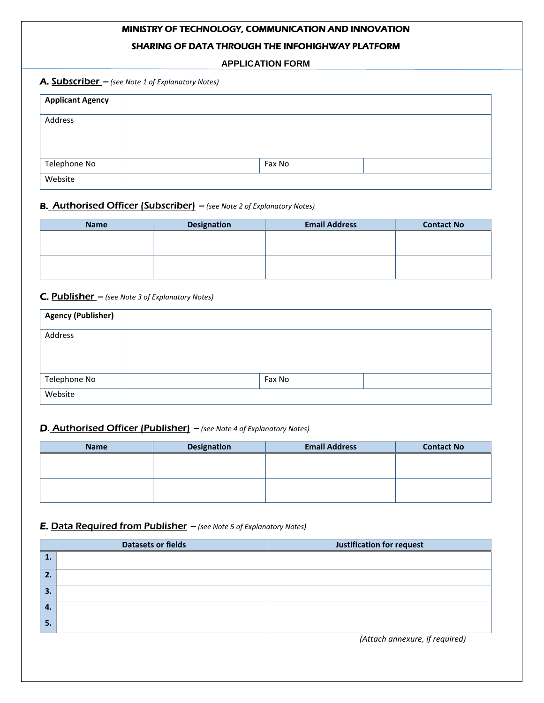# MINISTRY OF TECHNOLOGY, COMMUNICATION AND INNOVATION

# SHARING OF DATA THROUGH THE INFOHIGHWAY PLATFORM

**APPLICATION FORM**

| <b>Applicant Agency</b> |        |  |
|-------------------------|--------|--|
| Address                 |        |  |
| Telephone No            | Fax No |  |
| Website                 |        |  |

# B. Authorised Officer (Subscriber) – *(see Note 2 of Explanatory Notes)*

| <b>Name</b> | <b>Email Address</b><br><b>Designation</b> |  |  |
|-------------|--------------------------------------------|--|--|
|             |                                            |  |  |
|             |                                            |  |  |
|             |                                            |  |  |
|             |                                            |  |  |

## C. Publisher – *(see Note 3 of Explanatory Notes)*

| <b>Agency (Publisher)</b> |        |  |
|---------------------------|--------|--|
| Address                   |        |  |
| Telephone No              | Fax No |  |
| Website                   |        |  |

## D. Authorised Officer (Publisher) – *(see Note 4 of Explanatory Notes)*

| <b>Name</b> | <b>Designation</b> | <b>Email Address</b> | <b>Contact No</b> |  |  |  |
|-------------|--------------------|----------------------|-------------------|--|--|--|
|             |                    |                      |                   |  |  |  |
|             |                    |                      |                   |  |  |  |
|             |                    |                      |                   |  |  |  |
|             |                    |                      |                   |  |  |  |

# E. Data Required from Publisher – *(see Note 5 of Explanatory Notes)*

|                | <b>Datasets or fields</b> | <b>Justification for request</b> |  |  |
|----------------|---------------------------|----------------------------------|--|--|
| 1.             |                           |                                  |  |  |
| 2.             |                           |                                  |  |  |
| 3.             |                           |                                  |  |  |
| $\overline{4}$ |                           |                                  |  |  |
| 5.             |                           |                                  |  |  |

*(Attach annexure, if required)*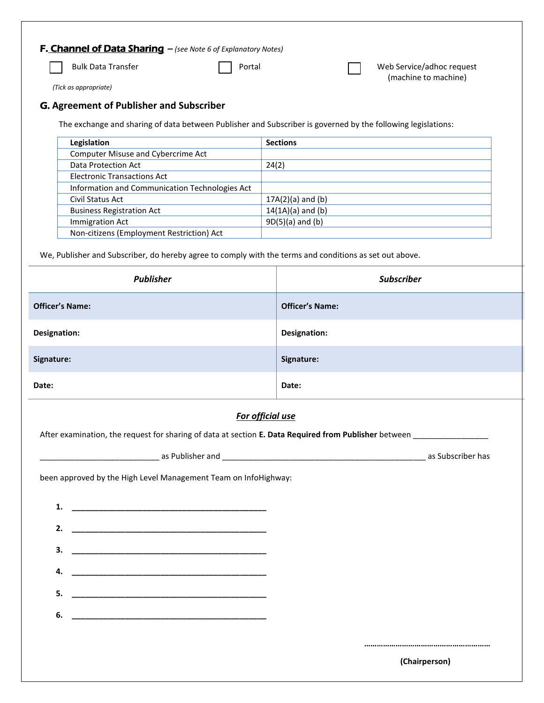# F. Channel of Data Sharing – *(see Note 6 of Explanatory Notes)*

Bulk Data Transfer **Portal Portal Portal Portal Portal Portal** Web Service/adhoc request (machine to machine)

*(Tick as appropriate)* 

# G. **Agreement of Publisher and Subscriber**

The exchange and sharing of data between Publisher and Subscriber is governed by the following legislations:

| Legislation                                    | <b>Sections</b>     |
|------------------------------------------------|---------------------|
| Computer Misuse and Cybercrime Act             |                     |
| Data Protection Act                            | 24(2)               |
| <b>Electronic Transactions Act</b>             |                     |
| Information and Communication Technologies Act |                     |
| Civil Status Act                               | $17A(2)(a)$ and (b) |
| <b>Business Registration Act</b>               | $14(1A)(a)$ and (b) |
| <b>Immigration Act</b>                         | $9D(5)(a)$ and (b)  |
| Non-citizens (Employment Restriction) Act      |                     |

We, Publisher and Subscriber, do hereby agree to comply with the terms and conditions as set out above.

| <b>Publisher</b>       | <b>Subscriber</b>      |  |  |  |
|------------------------|------------------------|--|--|--|
| <b>Officer's Name:</b> | <b>Officer's Name:</b> |  |  |  |
| Designation:           | Designation:           |  |  |  |
| Signature:             | Signature:             |  |  |  |
| Date:                  | Date:                  |  |  |  |
| For official use       |                        |  |  |  |

# *For official use*

After examination, the request for sharing of data at section **E. Data Required from Publisher** between \_\_\_\_\_\_\_\_\_\_\_\_\_\_\_\_\_

\_\_\_\_\_\_\_\_\_\_\_\_\_\_\_\_\_\_\_\_\_\_\_\_\_\_\_ as Publisher and \_\_\_\_\_\_\_\_\_\_\_\_\_\_\_\_\_\_\_\_\_\_\_\_\_\_\_\_\_\_\_\_\_\_\_\_\_\_\_\_\_\_\_\_\_\_ as Subscriber has

been approved by the High Level Management Team on InfoHighway:

**1. \_\_\_\_\_\_\_\_\_\_\_\_\_\_\_\_\_\_\_\_\_\_\_\_\_\_\_\_\_\_\_\_\_\_\_\_\_\_\_\_\_\_\_\_**

|    |                                                              |  |  | (Chairperson) |  |
|----|--------------------------------------------------------------|--|--|---------------|--|
|    |                                                              |  |  |               |  |
| 6. |                                                              |  |  |               |  |
|    |                                                              |  |  |               |  |
| 5. |                                                              |  |  |               |  |
| 4. |                                                              |  |  |               |  |
| 3. |                                                              |  |  |               |  |
|    |                                                              |  |  |               |  |
| 2. | <u> 1989 - Johann Stein, mars and de Brazilian (b. 1989)</u> |  |  |               |  |